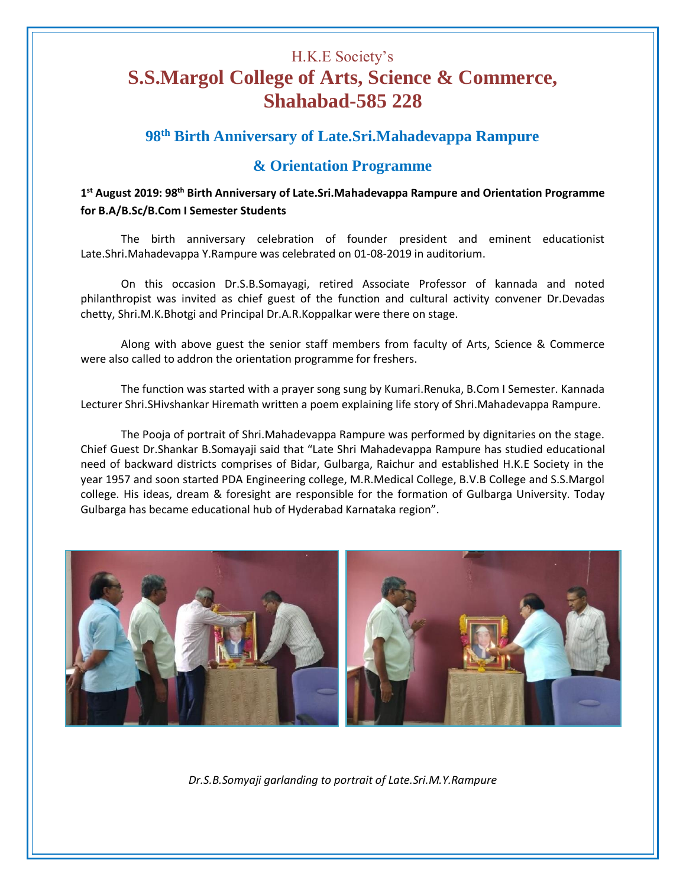## H.K.E Society's **S.S.Margol College of Arts, Science & Commerce, Shahabad-585 228**

## **98 th Birth Anniversary of Late.Sri.Mahadevappa Rampure**

## **& Orientation Programme**

## **1 st August 2019: 98 th Birth Anniversary of Late.Sri.Mahadevappa Rampure and Orientation Programme for B.A/B.Sc/B.Com I Semester Students**

The birth anniversary celebration of founder president and eminent educationist Late.Shri.Mahadevappa Y.Rampure was celebrated on 01-08-2019 in auditorium.

On this occasion Dr.S.B.Somayagi, retired Associate Professor of kannada and noted philanthropist was invited as chief guest of the function and cultural activity convener Dr.Devadas chetty, Shri.M.K.Bhotgi and Principal Dr.A.R.Koppalkar were there on stage.

Along with above guest the senior staff members from faculty of Arts, Science & Commerce were also called to addron the orientation programme for freshers.

The function was started with a prayer song sung by Kumari.Renuka, B.Com I Semester. Kannada Lecturer Shri.SHivshankar Hiremath written a poem explaining life story of Shri.Mahadevappa Rampure.

The Pooja of portrait of Shri.Mahadevappa Rampure was performed by dignitaries on the stage. Chief Guest Dr.Shankar B.Somayaji said that "Late Shri Mahadevappa Rampure has studied educational need of backward districts comprises of Bidar, Gulbarga, Raichur and established H.K.E Society in the year 1957 and soon started PDA Engineering college, M.R.Medical College, B.V.B College and S.S.Margol college. His ideas, dream & foresight are responsible for the formation of Gulbarga University. Today Gulbarga has became educational hub of Hyderabad Karnataka region".



*Dr.S.B.Somyaji garlanding to portrait of Late.Sri.M.Y.Rampure*